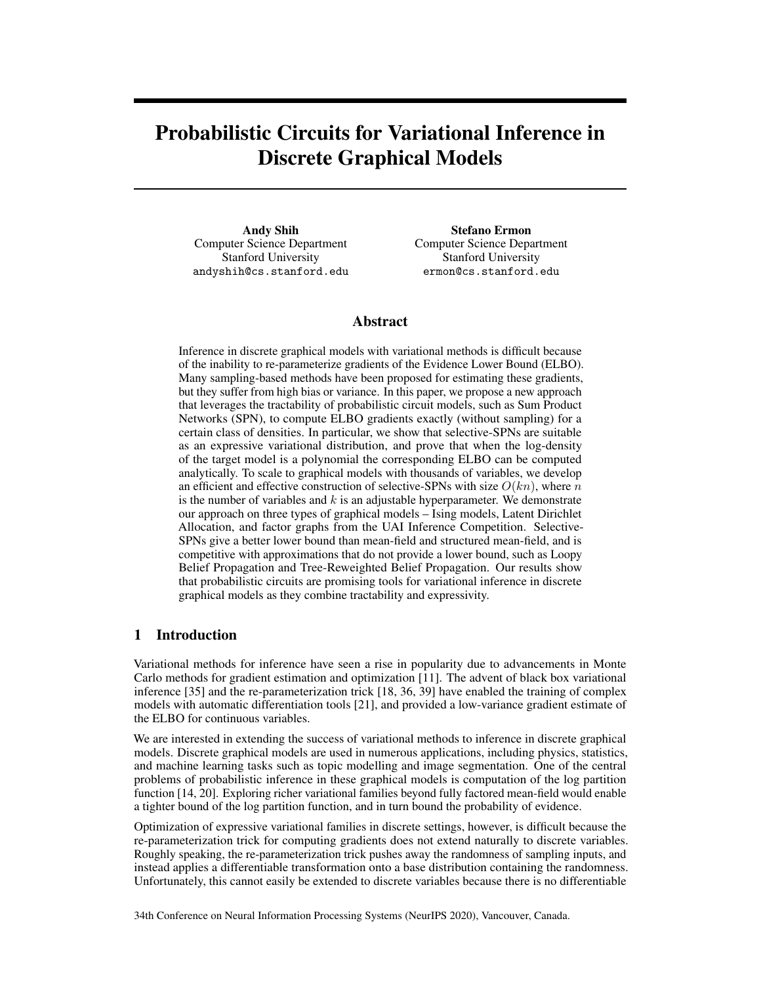# Probabilistic Circuits for Variational Inference in Discrete Graphical Models

Andy Shih Computer Science Department Stanford University andyshih@cs.stanford.edu

Stefano Ermon Computer Science Department Stanford University ermon@cs.stanford.edu

## Abstract

Inference in discrete graphical models with variational methods is difficult because of the inability to re-parameterize gradients of the Evidence Lower Bound (ELBO). Many sampling-based methods have been proposed for estimating these gradients, but they suffer from high bias or variance. In this paper, we propose a new approach that leverages the tractability of probabilistic circuit models, such as Sum Product Networks (SPN), to compute ELBO gradients exactly (without sampling) for a certain class of densities. In particular, we show that selective-SPNs are suitable as an expressive variational distribution, and prove that when the log-density of the target model is a polynomial the corresponding ELBO can be computed analytically. To scale to graphical models with thousands of variables, we develop an efficient and effective construction of selective-SPNs with size  $O(kn)$ , where n is the number of variables and  $k$  is an adjustable hyperparameter. We demonstrate our approach on three types of graphical models – Ising models, Latent Dirichlet Allocation, and factor graphs from the UAI Inference Competition. Selective-SPNs give a better lower bound than mean-field and structured mean-field, and is competitive with approximations that do not provide a lower bound, such as Loopy Belief Propagation and Tree-Reweighted Belief Propagation. Our results show that probabilistic circuits are promising tools for variational inference in discrete graphical models as they combine tractability and expressivity.

# 1 Introduction

Variational methods for inference have seen a rise in popularity due to advancements in Monte Carlo methods for gradient estimation and optimization [11]. The advent of black box variational inference [35] and the re-parameterization trick [18, 36, 39] have enabled the training of complex models with automatic differentiation tools [21], and provided a low-variance gradient estimate of the ELBO for continuous variables.

We are interested in extending the success of variational methods to inference in discrete graphical models. Discrete graphical models are used in numerous applications, including physics, statistics, and machine learning tasks such as topic modelling and image segmentation. One of the central problems of probabilistic inference in these graphical models is computation of the log partition function [14, 20]. Exploring richer variational families beyond fully factored mean-field would enable a tighter bound of the log partition function, and in turn bound the probability of evidence.

Optimization of expressive variational families in discrete settings, however, is difficult because the re-parameterization trick for computing gradients does not extend naturally to discrete variables. Roughly speaking, the re-parameterization trick pushes away the randomness of sampling inputs, and instead applies a differentiable transformation onto a base distribution containing the randomness. Unfortunately, this cannot easily be extended to discrete variables because there is no differentiable

34th Conference on Neural Information Processing Systems (NeurIPS 2020), Vancouver, Canada.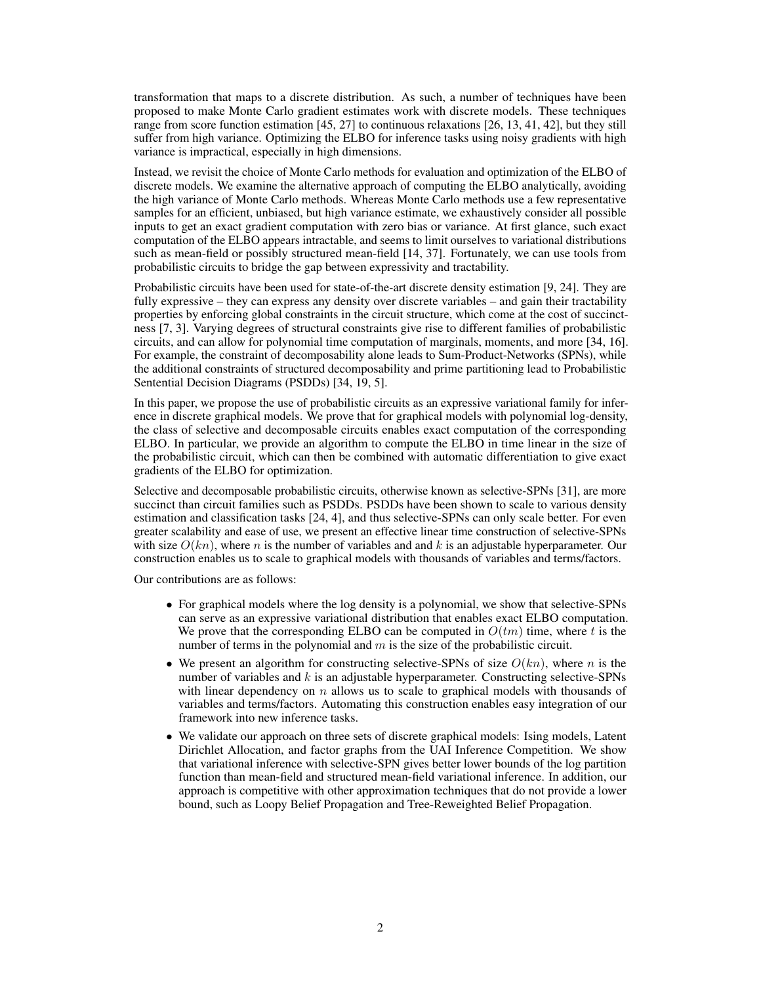transformation that maps to a discrete distribution. As such, a number of techniques have been proposed to make Monte Carlo gradient estimates work with discrete models. These techniques range from score function estimation [45, 27] to continuous relaxations [26, 13, 41, 42], but they still suffer from high variance. Optimizing the ELBO for inference tasks using noisy gradients with high variance is impractical, especially in high dimensions.

Instead, we revisit the choice of Monte Carlo methods for evaluation and optimization of the ELBO of discrete models. We examine the alternative approach of computing the ELBO analytically, avoiding the high variance of Monte Carlo methods. Whereas Monte Carlo methods use a few representative samples for an efficient, unbiased, but high variance estimate, we exhaustively consider all possible inputs to get an exact gradient computation with zero bias or variance. At first glance, such exact computation of the ELBO appears intractable, and seems to limit ourselves to variational distributions such as mean-field or possibly structured mean-field [14, 37]. Fortunately, we can use tools from probabilistic circuits to bridge the gap between expressivity and tractability.

Probabilistic circuits have been used for state-of-the-art discrete density estimation [9, 24]. They are fully expressive – they can express any density over discrete variables – and gain their tractability properties by enforcing global constraints in the circuit structure, which come at the cost of succinctness [7, 3]. Varying degrees of structural constraints give rise to different families of probabilistic circuits, and can allow for polynomial time computation of marginals, moments, and more [34, 16]. For example, the constraint of decomposability alone leads to Sum-Product-Networks (SPNs), while the additional constraints of structured decomposability and prime partitioning lead to Probabilistic Sentential Decision Diagrams (PSDDs) [34, 19, 5].

In this paper, we propose the use of probabilistic circuits as an expressive variational family for inference in discrete graphical models. We prove that for graphical models with polynomial log-density, the class of selective and decomposable circuits enables exact computation of the corresponding ELBO. In particular, we provide an algorithm to compute the ELBO in time linear in the size of the probabilistic circuit, which can then be combined with automatic differentiation to give exact gradients of the ELBO for optimization.

Selective and decomposable probabilistic circuits, otherwise known as selective-SPNs [31], are more succinct than circuit families such as PSDDs. PSDDs have been shown to scale to various density estimation and classification tasks [24, 4], and thus selective-SPNs can only scale better. For even greater scalability and ease of use, we present an effective linear time construction of selective-SPNs with size  $O(kn)$ , where n is the number of variables and and k is an adjustable hyperparameter. Our construction enables us to scale to graphical models with thousands of variables and terms/factors.

Our contributions are as follows:

- For graphical models where the log density is a polynomial, we show that selective-SPNs can serve as an expressive variational distribution that enables exact ELBO computation. We prove that the corresponding ELBO can be computed in  $O(tm)$  time, where t is the number of terms in the polynomial and  $m$  is the size of the probabilistic circuit.
- We present an algorithm for constructing selective-SPNs of size  $O(kn)$ , where n is the number of variables and  $k$  is an adjustable hyperparameter. Constructing selective-SPNs with linear dependency on  $n$  allows us to scale to graphical models with thousands of variables and terms/factors. Automating this construction enables easy integration of our framework into new inference tasks.
- We validate our approach on three sets of discrete graphical models: Ising models, Latent Dirichlet Allocation, and factor graphs from the UAI Inference Competition. We show that variational inference with selective-SPN gives better lower bounds of the log partition function than mean-field and structured mean-field variational inference. In addition, our approach is competitive with other approximation techniques that do not provide a lower bound, such as Loopy Belief Propagation and Tree-Reweighted Belief Propagation.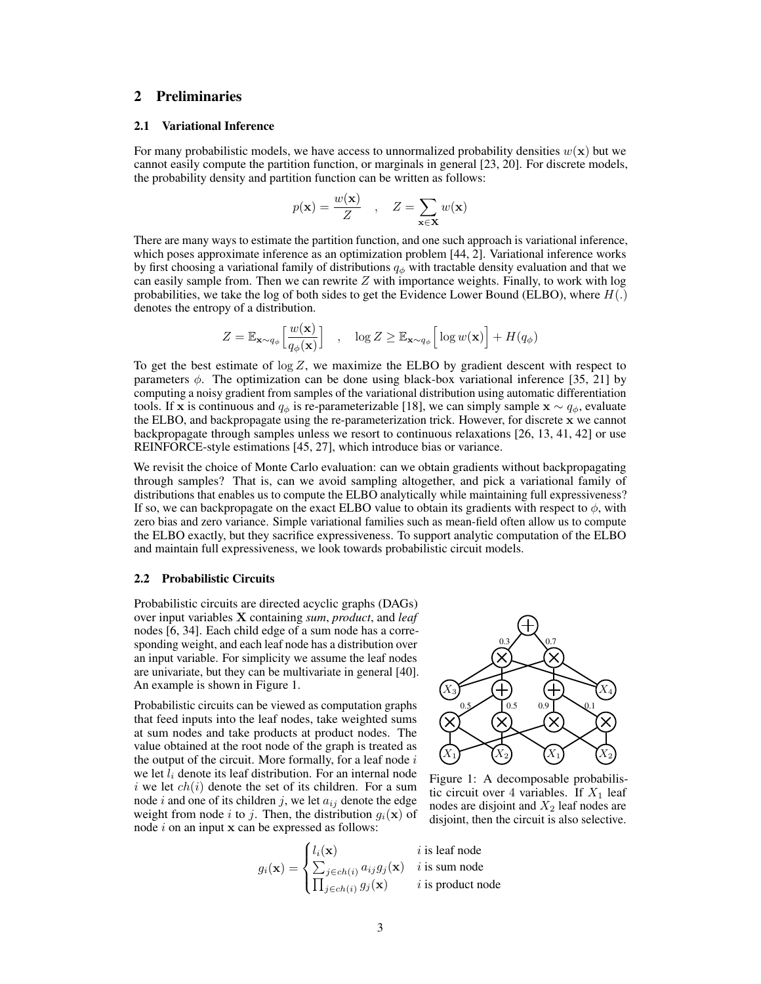## 2 Preliminaries

#### 2.1 Variational Inference

For many probabilistic models, we have access to unnormalized probability densities  $w(\mathbf{x})$  but we cannot easily compute the partition function, or marginals in general [23, 20]. For discrete models, the probability density and partition function can be written as follows:

$$
p(\mathbf{x}) = \frac{w(\mathbf{x})}{Z}
$$
,  $Z = \sum_{\mathbf{x} \in \mathbf{X}} w(\mathbf{x})$ 

There are many ways to estimate the partition function, and one such approach is variational inference, which poses approximate inference as an optimization problem [44, 2]. Variational inference works by first choosing a variational family of distributions  $q_{\phi}$  with tractable density evaluation and that we can easily sample from. Then we can rewrite  $Z$  with importance weights. Finally, to work with log probabilities, we take the log of both sides to get the Evidence Lower Bound (ELBO), where  $H(.)$ denotes the entropy of a distribution.

$$
Z = \mathbb{E}_{\mathbf{x} \sim q_{\phi}} \left[ \frac{w(\mathbf{x})}{q_{\phi}(\mathbf{x})} \right] , \quad \log Z \geq \mathbb{E}_{\mathbf{x} \sim q_{\phi}} \left[ \log w(\mathbf{x}) \right] + H(q_{\phi})
$$

To get the best estimate of  $\log Z$ , we maximize the ELBO by gradient descent with respect to parameters  $\phi$ . The optimization can be done using black-box variational inference [35, 21] by computing a noisy gradient from samples of the variational distribution using automatic differentiation tools. If x is continuous and  $q_{\phi}$  is re-parameterizable [18], we can simply sample  $\mathbf{x} \sim q_{\phi}$ , evaluate the ELBO, and backpropagate using the re-parameterization trick. However, for discrete x we cannot backpropagate through samples unless we resort to continuous relaxations [26, 13, 41, 42] or use REINFORCE-style estimations [45, 27], which introduce bias or variance.

We revisit the choice of Monte Carlo evaluation: can we obtain gradients without backpropagating through samples? That is, can we avoid sampling altogether, and pick a variational family of distributions that enables us to compute the ELBO analytically while maintaining full expressiveness? If so, we can backpropagate on the exact ELBO value to obtain its gradients with respect to  $\phi$ , with zero bias and zero variance. Simple variational families such as mean-field often allow us to compute the ELBO exactly, but they sacrifice expressiveness. To support analytic computation of the ELBO and maintain full expressiveness, we look towards probabilistic circuit models.

#### 2.2 Probabilistic Circuits

Probabilistic circuits are directed acyclic graphs (DAGs) over input variables X containing *sum*, *product*, and *leaf* nodes [6, 34]. Each child edge of a sum node has a corresponding weight, and each leaf node has a distribution over an input variable. For simplicity we assume the leaf nodes are univariate, but they can be multivariate in general [40]. An example is shown in Figure 1.

Probabilistic circuits can be viewed as computation graphs that feed inputs into the leaf nodes, take weighted sums at sum nodes and take products at product nodes. The value obtained at the root node of the graph is treated as the output of the circuit. More formally, for a leaf node  $i$ we let  $l_i$  denote its leaf distribution. For an internal node i we let  $ch(i)$  denote the set of its children. For a sum node i and one of its children j, we let  $a_{ij}$  denote the edge weight from node i to j. Then, the distribution  $g_i(\mathbf{x})$  of node  $i$  on an input  $x$  can be expressed as follows:

$$
g_i(\mathbf{x}) = \begin{cases} l_i(\mathbf{x}) & i \\ \sum_{j \in ch(i)} a_{ij} g_j(\mathbf{x}) & i \\ \prod_{j \in ch(i)} g_j(\mathbf{x}) & i \end{cases}
$$



Figure 1: A decomposable probabilistic circuit over 4 variables. If  $X_1$  leaf nodes are disjoint and  $X_2$  leaf nodes are disjoint, then the circuit is also selective.

is leaf node is sum node is product node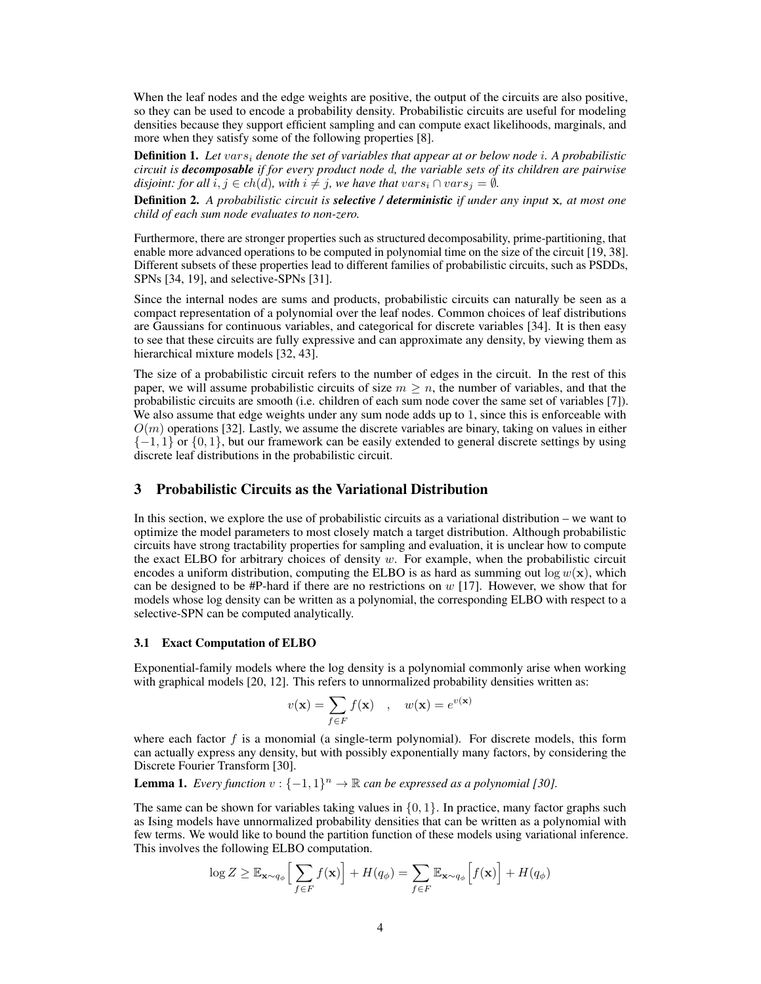When the leaf nodes and the edge weights are positive, the output of the circuits are also positive, so they can be used to encode a probability density. Probabilistic circuits are useful for modeling densities because they support efficient sampling and can compute exact likelihoods, marginals, and more when they satisfy some of the following properties [8].

Definition 1. *Let* vars<sup>i</sup> *denote the set of variables that appear at or below node* i*. A probabilistic circuit is decomposable if for every product node* d*, the variable sets of its children are pairwise disjoint: for all*  $i, j \in ch(d)$ *, with*  $i \neq j$ *, we have that*  $vars_i \cap vars_i = \emptyset$ *.* 

Definition 2. *A probabilistic circuit is selective / deterministic if under any input* x*, at most one child of each sum node evaluates to non-zero.*

Furthermore, there are stronger properties such as structured decomposability, prime-partitioning, that enable more advanced operations to be computed in polynomial time on the size of the circuit [19, 38]. Different subsets of these properties lead to different families of probabilistic circuits, such as PSDDs, SPNs [34, 19], and selective-SPNs [31].

Since the internal nodes are sums and products, probabilistic circuits can naturally be seen as a compact representation of a polynomial over the leaf nodes. Common choices of leaf distributions are Gaussians for continuous variables, and categorical for discrete variables [34]. It is then easy to see that these circuits are fully expressive and can approximate any density, by viewing them as hierarchical mixture models [32, 43].

The size of a probabilistic circuit refers to the number of edges in the circuit. In the rest of this paper, we will assume probabilistic circuits of size  $m \geq n$ , the number of variables, and that the probabilistic circuits are smooth (i.e. children of each sum node cover the same set of variables [7]). We also assume that edge weights under any sum node adds up to 1, since this is enforceable with  $O(m)$  operations [32]. Lastly, we assume the discrete variables are binary, taking on values in either  $\{-1, 1\}$  or  $\{0, 1\}$ , but our framework can be easily extended to general discrete settings by using discrete leaf distributions in the probabilistic circuit.

## 3 Probabilistic Circuits as the Variational Distribution

In this section, we explore the use of probabilistic circuits as a variational distribution – we want to optimize the model parameters to most closely match a target distribution. Although probabilistic circuits have strong tractability properties for sampling and evaluation, it is unclear how to compute the exact ELBO for arbitrary choices of density  $w$ . For example, when the probabilistic circuit encodes a uniform distribution, computing the ELBO is as hard as summing out  $\log w(\mathbf{x})$ , which can be designed to be #P-hard if there are no restrictions on  $w$  [17]. However, we show that for models whose log density can be written as a polynomial, the corresponding ELBO with respect to a selective-SPN can be computed analytically.

## 3.1 Exact Computation of ELBO

Exponential-family models where the log density is a polynomial commonly arise when working with graphical models [20, 12]. This refers to unnormalized probability densities written as:

$$
v(\mathbf{x}) = \sum_{f \in F} f(\mathbf{x})
$$
,  $w(\mathbf{x}) = e^{v(\mathbf{x})}$ 

where each factor  $f$  is a monomial (a single-term polynomial). For discrete models, this form can actually express any density, but with possibly exponentially many factors, by considering the Discrete Fourier Transform [30].

**Lemma 1.** Every function  $v: \{-1,1\}^n \to \mathbb{R}$  can be expressed as a polynomial [30].

The same can be shown for variables taking values in  $\{0, 1\}$ . In practice, many factor graphs such as Ising models have unnormalized probability densities that can be written as a polynomial with few terms. We would like to bound the partition function of these models using variational inference. This involves the following ELBO computation.

$$
\log Z \geq \mathbb{E}_{\mathbf{x} \sim q_{\phi}} \Big[ \sum_{f \in F} f(\mathbf{x}) \Big] + H(q_{\phi}) = \sum_{f \in F} \mathbb{E}_{\mathbf{x} \sim q_{\phi}} \Big[ f(\mathbf{x}) \Big] + H(q_{\phi})
$$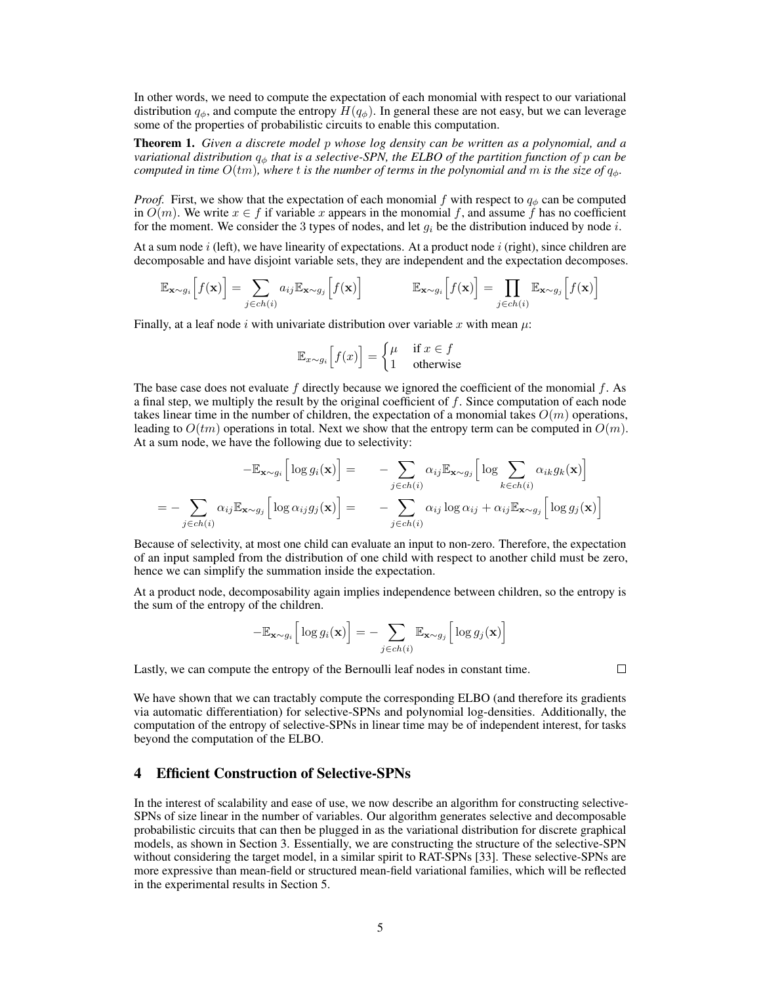In other words, we need to compute the expectation of each monomial with respect to our variational distribution  $q_{\phi}$ , and compute the entropy  $H(q_{\phi})$ . In general these are not easy, but we can leverage some of the properties of probabilistic circuits to enable this computation.

Theorem 1. *Given a discrete model* p *whose log density can be written as a polynomial, and a variational distribution* q<sup>φ</sup> *that is a selective-SPN, the ELBO of the partition function of* p *can be computed in time*  $O(tm)$ *, where* t *is the number of terms in the polynomial and* m *is the size of*  $q_{\phi}$ *.* 

*Proof.* First, we show that the expectation of each monomial f with respect to  $q_{\phi}$  can be computed in  $O(m)$ . We write  $x \in f$  if variable x appears in the monomial f, and assume f has no coefficient for the moment. We consider the 3 types of nodes, and let  $q_i$  be the distribution induced by node i.

At a sum node  $i$  (left), we have linearity of expectations. At a product node  $i$  (right), since children are decomposable and have disjoint variable sets, they are independent and the expectation decomposes.

$$
\mathbb{E}_{\mathbf{x} \sim g_i} \Big[ f(\mathbf{x}) \Big] = \sum_{j \in ch(i)} a_{ij} \mathbb{E}_{\mathbf{x} \sim g_j} \Big[ f(\mathbf{x}) \Big] \qquad \qquad \mathbb{E}_{\mathbf{x} \sim g_i} \Big[ f(\mathbf{x}) \Big] = \prod_{j \in ch(i)} \mathbb{E}_{\mathbf{x} \sim g_j} \Big[ f(\mathbf{x}) \Big]
$$

Finally, at a leaf node i with univariate distribution over variable x with mean  $\mu$ :

$$
\mathbb{E}_{x \sim g_i} \Big[ f(x) \Big] = \begin{cases} \mu & \text{if } x \in f \\ 1 & \text{otherwise} \end{cases}
$$

The base case does not evaluate  $f$  directly because we ignored the coefficient of the monomial  $f$ . As a final step, we multiply the result by the original coefficient of  $f$ . Since computation of each node takes linear time in the number of children, the expectation of a monomial takes  $O(m)$  operations, leading to  $O(tm)$  operations in total. Next we show that the entropy term can be computed in  $O(m)$ . At a sum node, we have the following due to selectivity:

$$
-\mathbb{E}_{\mathbf{x}\sim g_i}\Big[\log g_i(\mathbf{x})\Big] = -\sum_{j\in ch(i)} \alpha_{ij} \mathbb{E}_{\mathbf{x}\sim g_j}\Big[\log \sum_{k\in ch(i)} \alpha_{ik} g_k(\mathbf{x})\Big]
$$
  
= 
$$
-\sum_{j\in ch(i)} \alpha_{ij} \mathbb{E}_{\mathbf{x}\sim g_j}\Big[\log \alpha_{ij} g_j(\mathbf{x})\Big] = -\sum_{j\in ch(i)} \alpha_{ij} \log \alpha_{ij} + \alpha_{ij} \mathbb{E}_{\mathbf{x}\sim g_j}\Big[\log g_j(\mathbf{x})\Big]
$$

Because of selectivity, at most one child can evaluate an input to non-zero. Therefore, the expectation of an input sampled from the distribution of one child with respect to another child must be zero, hence we can simplify the summation inside the expectation.

At a product node, decomposability again implies independence between children, so the entropy is the sum of the entropy of the children.

$$
-\mathbb{E}_{\mathbf{x}\sim g_i}\Big[\log g_i(\mathbf{x})\Big] = -\sum_{j\in ch(i)} \mathbb{E}_{\mathbf{x}\sim g_j}\Big[\log g_j(\mathbf{x})\Big]
$$

Lastly, we can compute the entropy of the Bernoulli leaf nodes in constant time.

 $\Box$ 

We have shown that we can tractably compute the corresponding ELBO (and therefore its gradients via automatic differentiation) for selective-SPNs and polynomial log-densities. Additionally, the computation of the entropy of selective-SPNs in linear time may be of independent interest, for tasks beyond the computation of the ELBO.

## 4 Efficient Construction of Selective-SPNs

In the interest of scalability and ease of use, we now describe an algorithm for constructing selective-SPNs of size linear in the number of variables. Our algorithm generates selective and decomposable probabilistic circuits that can then be plugged in as the variational distribution for discrete graphical models, as shown in Section 3. Essentially, we are constructing the structure of the selective-SPN without considering the target model, in a similar spirit to RAT-SPNs [33]. These selective-SPNs are more expressive than mean-field or structured mean-field variational families, which will be reflected in the experimental results in Section 5.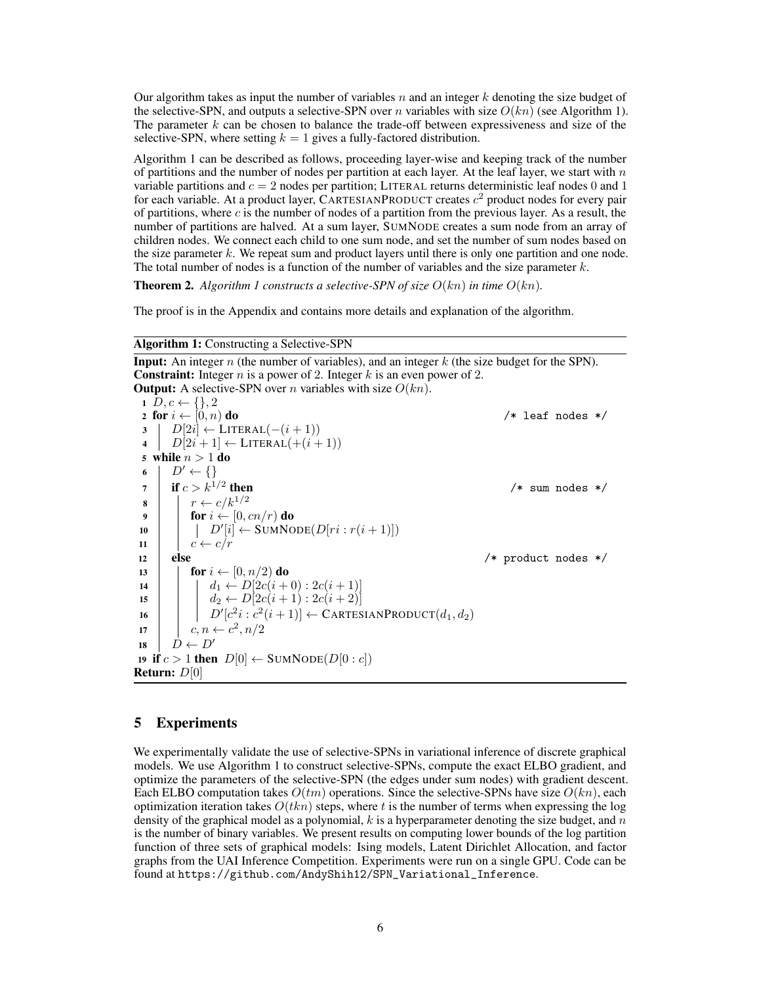Our algorithm takes as input the number of variables  $n$  and an integer  $k$  denoting the size budget of the selective-SPN, and outputs a selective-SPN over n variables with size  $O(kn)$  (see Algorithm 1). The parameter  $k$  can be chosen to balance the trade-off between expressiveness and size of the selective-SPN, where setting  $k = 1$  gives a fully-factored distribution.

Algorithm 1 can be described as follows, proceeding layer-wise and keeping track of the number of partitions and the number of nodes per partition at each layer. At the leaf layer, we start with  $n$ variable partitions and  $c = 2$  nodes per partition; LITERAL returns deterministic leaf nodes 0 and 1 for each variable. At a product layer, CARTESIANPRODUCT creates  $c^2$  product nodes for every pair of partitions, where  $c$  is the number of nodes of a partition from the previous layer. As a result, the number of partitions are halved. At a sum layer, SUMNODE creates a sum node from an array of children nodes. We connect each child to one sum node, and set the number of sum nodes based on the size parameter  $k$ . We repeat sum and product layers until there is only one partition and one node. The total number of nodes is a function of the number of variables and the size parameter  $k$ .

**Theorem 2.** Algorithm 1 constructs a selective-SPN of size  $O(kn)$  in time  $O(kn)$ .

The proof is in the Appendix and contains more details and explanation of the algorithm.

#### Algorithm 1: Constructing a Selective-SPN

**Input:** An integer n (the number of variables), and an integer  $k$  (the size budget for the SPN). **Constraint:** Integer  $n$  is a power of 2. Integer  $k$  is an even power of 2. **Output:** A selective-SPN over *n* variables with size  $O(kn)$ . 1  $D, c \leftarrow \{\}, 2$ <br>2 for  $i \leftarrow [0, n)$  do 2 for  $i \leftarrow [0, n)$  do  $\ell^*$  leaf nodes \*/<br>
3 |  $D[2i] \leftarrow \text{LITERAL}(-(i+1))$  $\begin{array}{c|c} \textbf{3} & D[2i] \leftarrow \text{LITERAL}(-(i+1)) \\ \textbf{4} & D[2i+1] \leftarrow \text{LITERAL}(+(i+1)) \end{array}$ 4  $D[2i+1] \leftarrow \text{LITERAL}(+(i+1))$ <br>5 while  $n > 1$  do while  $n>1$  do 6  $\begin{array}{c|c} D' \leftarrow \{\} \\ \mathbf{r} & \mathbf{if } c > k^{1/2} \end{array}$ if  $c > k^{1/2}$  then  $/*$  sum nodes  $*/$  $\begin{array}{c|c} \mathbf{8} & r \leftarrow c/k^{1/2} \\ \mathbf{9} & \text{for } i \leftarrow 0.6 \end{array}$ 9 for  $i \leftarrow [0, cn/r)$  do<br>
10  $\downarrow$  D'[i]  $\leftarrow$  SUMNO 10  $\left| \left| D'[i] \leftarrow \text{SUMNode}(D[ri:r(i+1)]) \right)$  $\begin{array}{c|c} 11 & c & c & c/r \\ 12 & \text{else} \end{array}$ /\* product nodes  $*/$ 13 **for**  $i \leftarrow [0, n/2)$  **do**<br>14 **for**  $i \leftarrow D[2c(i+\frac{1}{2})]$ 14  $d_1 \leftarrow D[2c(i+0):2c(i+1)]$ <br>
15  $d_2 \leftarrow D[2c(i+1):2c(i+2)]$ 15  $\left| \begin{array}{c} | \end{array} \right|$   $d_2 \leftarrow D[2c(i+1):2c(i+2)]$ 16  $\left| D' [c^2 i : c^2 (i+1)] \leftarrow \text{CARTESIANPRODUCT}(d_1, d_2)$ 17  $\left| \begin{array}{c} c, n \leftarrow c^2, n/2 \end{array} \right|$ 18  $D \leftarrow D'$ 19 if  $c > 1$  then  $D[0] \leftarrow$  SUMNODE( $D[0 : c]$ ) Return: D[0]

## 5 Experiments

We experimentally validate the use of selective-SPNs in variational inference of discrete graphical models. We use Algorithm 1 to construct selective-SPNs, compute the exact ELBO gradient, and optimize the parameters of the selective-SPN (the edges under sum nodes) with gradient descent. Each ELBO computation takes  $O(tm)$  operations. Since the selective-SPNs have size  $O(kn)$ , each optimization iteration takes  $O(tkn)$  steps, where t is the number of terms when expressing the log density of the graphical model as a polynomial,  $k$  is a hyperparameter denoting the size budget, and  $n$ is the number of binary variables. We present results on computing lower bounds of the log partition function of three sets of graphical models: Ising models, Latent Dirichlet Allocation, and factor graphs from the UAI Inference Competition. Experiments were run on a single GPU. Code can be found at https://github.com/AndyShih12/SPN\_Variational\_Inference.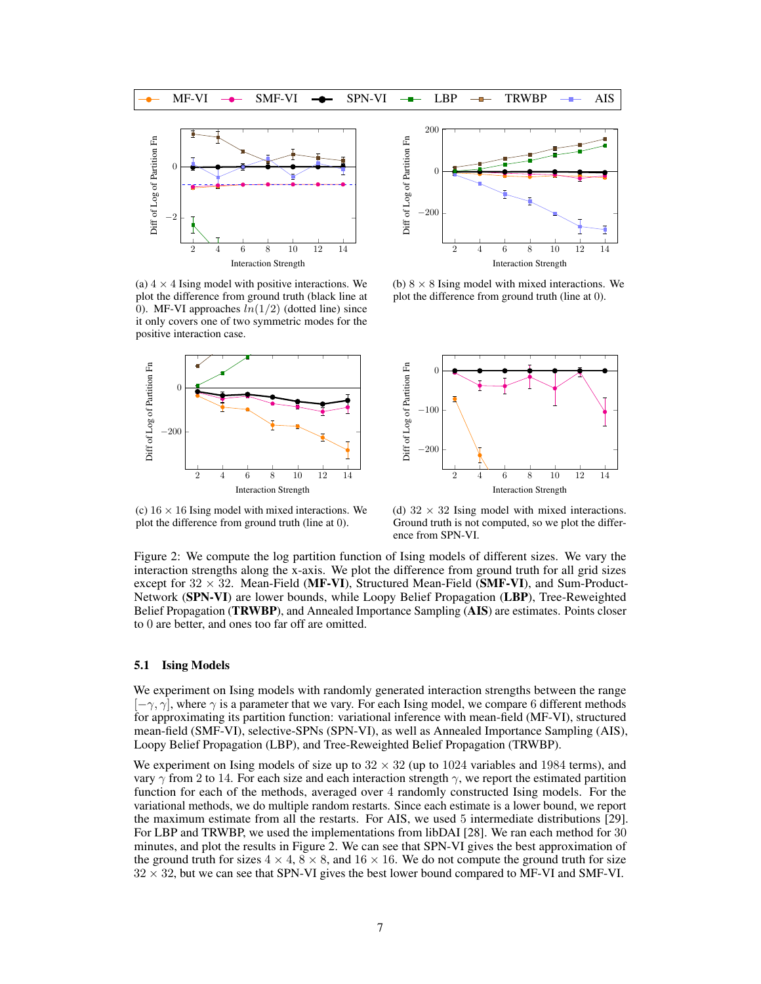

(a)  $4 \times 4$  Ising model with positive interactions. We plot the difference from ground truth (black line at 0). MF-VI approaches  $ln(1/2)$  (dotted line) since it only covers one of two symmetric modes for the positive interaction case.



(b)  $8 \times 8$  Ising model with mixed interactions. We





(c)  $16 \times 16$  Ising model with mixed interactions. We plot the difference from ground truth (line at 0).

(d)  $32 \times 32$  Ising model with mixed interactions. Ground truth is not computed, so we plot the difference from SPN-VI.

Figure 2: We compute the log partition function of Ising models of different sizes. We vary the interaction strengths along the x-axis. We plot the difference from ground truth for all grid sizes except for  $32 \times 32$ . Mean-Field (MF-VI), Structured Mean-Field (SMF-VI), and Sum-Product-Network (SPN-VI) are lower bounds, while Loopy Belief Propagation (LBP), Tree-Reweighted Belief Propagation (TRWBP), and Annealed Importance Sampling (AIS) are estimates. Points closer to 0 are better, and ones too far off are omitted.

#### 5.1 Ising Models

We experiment on Ising models with randomly generated interaction strengths between the range  $[-\gamma, \gamma]$ , where  $\gamma$  is a parameter that we vary. For each Ising model, we compare 6 different methods for approximating its partition function: variational inference with mean-field (MF-VI), structured mean-field (SMF-VI), selective-SPNs (SPN-VI), as well as Annealed Importance Sampling (AIS), Loopy Belief Propagation (LBP), and Tree-Reweighted Belief Propagation (TRWBP).

We experiment on Ising models of size up to  $32 \times 32$  (up to 1024 variables and 1984 terms), and vary  $\gamma$  from 2 to 14. For each size and each interaction strength  $\gamma$ , we report the estimated partition function for each of the methods, averaged over 4 randomly constructed Ising models. For the variational methods, we do multiple random restarts. Since each estimate is a lower bound, we report the maximum estimate from all the restarts. For AIS, we used 5 intermediate distributions [29]. For LBP and TRWBP, we used the implementations from libDAI [28]. We ran each method for 30 minutes, and plot the results in Figure 2. We can see that SPN-VI gives the best approximation of the ground truth for sizes  $4 \times 4$ ,  $8 \times 8$ , and  $16 \times 16$ . We do not compute the ground truth for size  $32 \times 32$ , but we can see that SPN-VI gives the best lower bound compared to MF-VI and SMF-VI.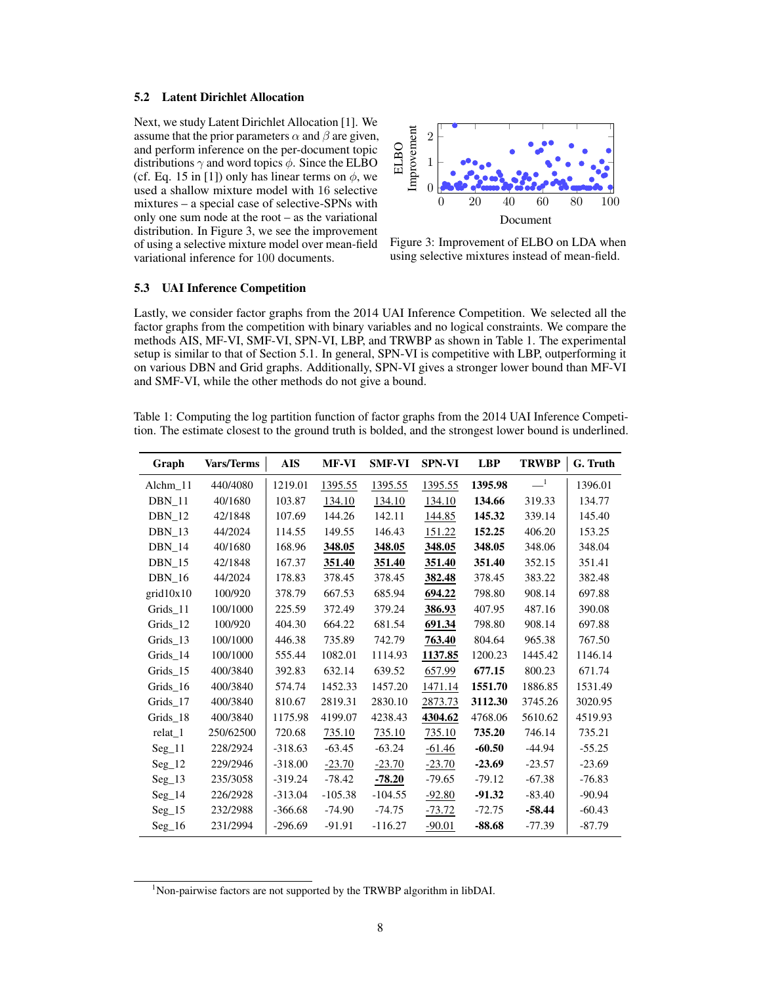#### 5.2 Latent Dirichlet Allocation

Next, we study Latent Dirichlet Allocation [1]. We assume that the prior parameters  $\alpha$  and  $\beta$  are given, and perform inference on the per-document topic distributions  $\gamma$  and word topics  $\phi$ . Since the ELBO (cf. Eq. 15 in [1]) only has linear terms on  $\phi$ , we used a shallow mixture model with 16 selective mixtures – a special case of selective-SPNs with only one sum node at the root – as the variational distribution. In Figure 3, we see the improvement of using a selective mixture model over mean-field variational inference for 100 documents.



Figure 3: Improvement of ELBO on LDA when using selective mixtures instead of mean-field.

#### 5.3 UAI Inference Competition

Lastly, we consider factor graphs from the 2014 UAI Inference Competition. We selected all the factor graphs from the competition with binary variables and no logical constraints. We compare the methods AIS, MF-VI, SMF-VI, SPN-VI, LBP, and TRWBP as shown in Table 1. The experimental setup is similar to that of Section 5.1. In general, SPN-VI is competitive with LBP, outperforming it on various DBN and Grid graphs. Additionally, SPN-VI gives a stronger lower bound than MF-VI and SMF-VI, while the other methods do not give a bound.

Table 1: Computing the log partition function of factor graphs from the 2014 UAI Inference Competition. The estimate closest to the ground truth is bolded, and the strongest lower bound is underlined.

| Graph         | Vars/Terms | <b>AIS</b> | <b>MF-VI</b> | <b>SMF-VI</b> | <b>SPN-VI</b> | <b>LBP</b> | <b>TRWBP</b>          | G. Truth |
|---------------|------------|------------|--------------|---------------|---------------|------------|-----------------------|----------|
| Alchm 11      | 440/4080   | 1219.01    | 1395.55      | 1395.55       | 1395.55       | 1395.98    | $\equiv$ <sup>1</sup> | 1396.01  |
| <b>DBN</b> 11 | 40/1680    | 103.87     | 134.10       | 134.10        | 134.10        | 134.66     | 319.33                | 134.77   |
| <b>DBN</b> 12 | 42/1848    | 107.69     | 144.26       | 142.11        | 144.85        | 145.32     | 339.14                | 145.40   |
| $DBN_13$      | 44/2024    | 114.55     | 149.55       | 146.43        | 151.22        | 152.25     | 406.20                | 153.25   |
| $DBN_14$      | 40/1680    | 168.96     | 348.05       | 348.05        | 348.05        | 348.05     | 348.06                | 348.04   |
| <b>DBN</b> 15 | 42/1848    | 167.37     | 351.40       | 351.40        | 351.40        | 351.40     | 352.15                | 351.41   |
| <b>DBN</b> 16 | 44/2024    | 178.83     | 378.45       | 378.45        | 382.48        | 378.45     | 383.22                | 382.48   |
| grid10x10     | 100/920    | 378.79     | 667.53       | 685.94        | 694.22        | 798.80     | 908.14                | 697.88   |
| Grids_11      | 100/1000   | 225.59     | 372.49       | 379.24        | 386.93        | 407.95     | 487.16                | 390.08   |
| Grids 12      | 100/920    | 404.30     | 664.22       | 681.54        | 691.34        | 798.80     | 908.14                | 697.88   |
| Grids_13      | 100/1000   | 446.38     | 735.89       | 742.79        | 763.40        | 804.64     | 965.38                | 767.50   |
| Grids 14      | 100/1000   | 555.44     | 1082.01      | 1114.93       | 1137.85       | 1200.23    | 1445.42               | 1146.14  |
| Grids_15      | 400/3840   | 392.83     | 632.14       | 639.52        | 657.99        | 677.15     | 800.23                | 671.74   |
| Grids_16      | 400/3840   | 574.74     | 1452.33      | 1457.20       | 1471.14       | 1551.70    | 1886.85               | 1531.49  |
| Grids 17      | 400/3840   | 810.67     | 2819.31      | 2830.10       | 2873.73       | 3112.30    | 3745.26               | 3020.95  |
| Grids_18      | 400/3840   | 1175.98    | 4199.07      | 4238.43       | 4304.62       | 4768.06    | 5610.62               | 4519.93  |
| relat_1       | 250/62500  | 720.68     | 735.10       | 735.10        | 735.10        | 735.20     | 746.14                | 735.21   |
| $Seg_11$      | 228/2924   | $-318.63$  | $-63.45$     | $-63.24$      | $-61.46$      | $-60.50$   | $-44.94$              | $-55.25$ |
| $Seg_12$      | 229/2946   | $-318.00$  | $-23.70$     | $-23.70$      | $-23.70$      | $-23.69$   | $-23.57$              | $-23.69$ |
| $Seg_13$      | 235/3058   | $-319.24$  | $-78.42$     | $-78.20$      | $-79.65$      | $-79.12$   | $-67.38$              | $-76.83$ |
| $Seg_14$      | 226/2928   | $-313.04$  | $-105.38$    | $-104.55$     | $-92.80$      | $-91.32$   | $-83.40$              | $-90.94$ |
| $Seg_15$      | 232/2988   | $-366.68$  | $-74.90$     | $-74.75$      | $-73.72$      | $-72.75$   | $-58.44$              | $-60.43$ |
| $Seg_16$      | 231/2994   | $-296.69$  | $-91.91$     | $-116.27$     | $-90.01$      | $-88.68$   | -77.39                | $-87.79$ |

 $1$ Non-pairwise factors are not supported by the TRWBP algorithm in libDAI.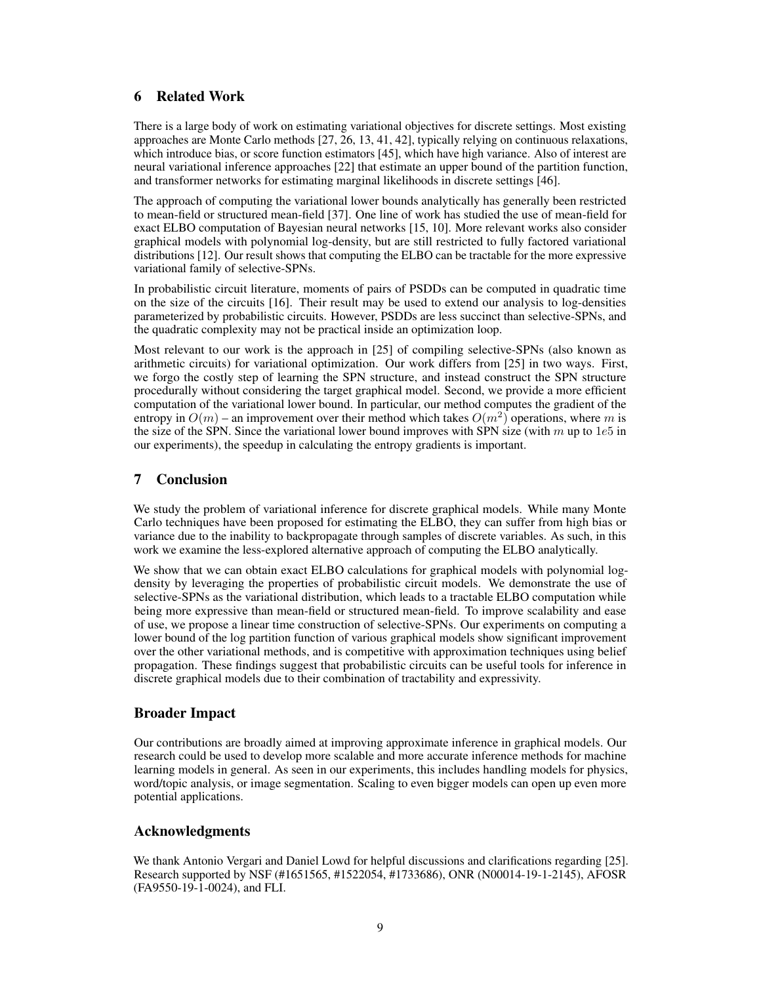# 6 Related Work

There is a large body of work on estimating variational objectives for discrete settings. Most existing approaches are Monte Carlo methods [27, 26, 13, 41, 42], typically relying on continuous relaxations, which introduce bias, or score function estimators [45], which have high variance. Also of interest are neural variational inference approaches [22] that estimate an upper bound of the partition function, and transformer networks for estimating marginal likelihoods in discrete settings [46].

The approach of computing the variational lower bounds analytically has generally been restricted to mean-field or structured mean-field [37]. One line of work has studied the use of mean-field for exact ELBO computation of Bayesian neural networks [15, 10]. More relevant works also consider graphical models with polynomial log-density, but are still restricted to fully factored variational distributions [12]. Our result shows that computing the ELBO can be tractable for the more expressive variational family of selective-SPNs.

In probabilistic circuit literature, moments of pairs of PSDDs can be computed in quadratic time on the size of the circuits [16]. Their result may be used to extend our analysis to log-densities parameterized by probabilistic circuits. However, PSDDs are less succinct than selective-SPNs, and the quadratic complexity may not be practical inside an optimization loop.

Most relevant to our work is the approach in [25] of compiling selective-SPNs (also known as arithmetic circuits) for variational optimization. Our work differs from [25] in two ways. First, we forgo the costly step of learning the SPN structure, and instead construct the SPN structure procedurally without considering the target graphical model. Second, we provide a more efficient computation of the variational lower bound. In particular, our method computes the gradient of the entropy in  $O(m)$  – an improvement over their method which takes  $O(m^2)$  operations, where m is the size of the SPN. Since the variational lower bound improves with SPN size (with  $m$  up to 1e5 in our experiments), the speedup in calculating the entropy gradients is important.

# 7 Conclusion

We study the problem of variational inference for discrete graphical models. While many Monte Carlo techniques have been proposed for estimating the ELBO, they can suffer from high bias or variance due to the inability to backpropagate through samples of discrete variables. As such, in this work we examine the less-explored alternative approach of computing the ELBO analytically.

We show that we can obtain exact ELBO calculations for graphical models with polynomial logdensity by leveraging the properties of probabilistic circuit models. We demonstrate the use of selective-SPNs as the variational distribution, which leads to a tractable ELBO computation while being more expressive than mean-field or structured mean-field. To improve scalability and ease of use, we propose a linear time construction of selective-SPNs. Our experiments on computing a lower bound of the log partition function of various graphical models show significant improvement over the other variational methods, and is competitive with approximation techniques using belief propagation. These findings suggest that probabilistic circuits can be useful tools for inference in discrete graphical models due to their combination of tractability and expressivity.

# Broader Impact

Our contributions are broadly aimed at improving approximate inference in graphical models. Our research could be used to develop more scalable and more accurate inference methods for machine learning models in general. As seen in our experiments, this includes handling models for physics, word/topic analysis, or image segmentation. Scaling to even bigger models can open up even more potential applications.

# Acknowledgments

We thank Antonio Vergari and Daniel Lowd for helpful discussions and clarifications regarding [25]. Research supported by NSF (#1651565, #1522054, #1733686), ONR (N00014-19-1-2145), AFOSR (FA9550-19-1-0024), and FLI.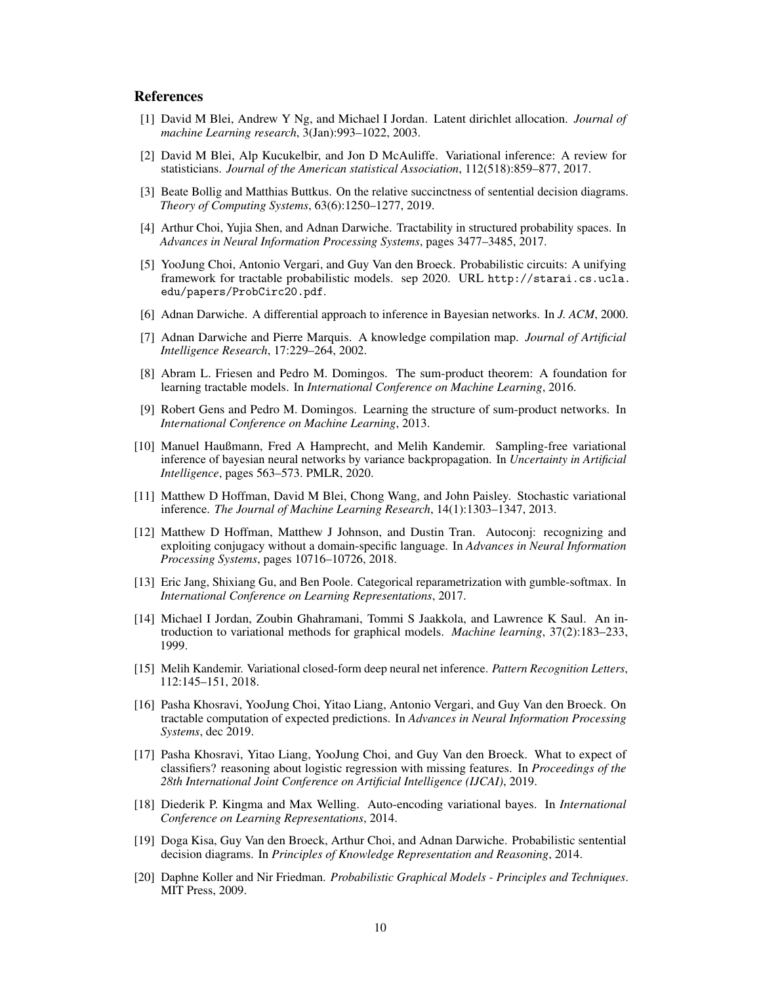## References

- [1] David M Blei, Andrew Y Ng, and Michael I Jordan. Latent dirichlet allocation. *Journal of machine Learning research*, 3(Jan):993–1022, 2003.
- [2] David M Blei, Alp Kucukelbir, and Jon D McAuliffe. Variational inference: A review for statisticians. *Journal of the American statistical Association*, 112(518):859–877, 2017.
- [3] Beate Bollig and Matthias Buttkus. On the relative succinctness of sentential decision diagrams. *Theory of Computing Systems*, 63(6):1250–1277, 2019.
- [4] Arthur Choi, Yujia Shen, and Adnan Darwiche. Tractability in structured probability spaces. In *Advances in Neural Information Processing Systems*, pages 3477–3485, 2017.
- [5] YooJung Choi, Antonio Vergari, and Guy Van den Broeck. Probabilistic circuits: A unifying framework for tractable probabilistic models. sep 2020. URL http://starai.cs.ucla. edu/papers/ProbCirc20.pdf.
- [6] Adnan Darwiche. A differential approach to inference in Bayesian networks. In *J. ACM*, 2000.
- [7] Adnan Darwiche and Pierre Marquis. A knowledge compilation map. *Journal of Artificial Intelligence Research*, 17:229–264, 2002.
- [8] Abram L. Friesen and Pedro M. Domingos. The sum-product theorem: A foundation for learning tractable models. In *International Conference on Machine Learning*, 2016.
- [9] Robert Gens and Pedro M. Domingos. Learning the structure of sum-product networks. In *International Conference on Machine Learning*, 2013.
- [10] Manuel Haußmann, Fred A Hamprecht, and Melih Kandemir. Sampling-free variational inference of bayesian neural networks by variance backpropagation. In *Uncertainty in Artificial Intelligence*, pages 563–573. PMLR, 2020.
- [11] Matthew D Hoffman, David M Blei, Chong Wang, and John Paisley. Stochastic variational inference. *The Journal of Machine Learning Research*, 14(1):1303–1347, 2013.
- [12] Matthew D Hoffman, Matthew J Johnson, and Dustin Tran. Autoconj: recognizing and exploiting conjugacy without a domain-specific language. In *Advances in Neural Information Processing Systems*, pages 10716–10726, 2018.
- [13] Eric Jang, Shixiang Gu, and Ben Poole. Categorical reparametrization with gumble-softmax. In *International Conference on Learning Representations*, 2017.
- [14] Michael I Jordan, Zoubin Ghahramani, Tommi S Jaakkola, and Lawrence K Saul. An introduction to variational methods for graphical models. *Machine learning*, 37(2):183–233, 1999.
- [15] Melih Kandemir. Variational closed-form deep neural net inference. *Pattern Recognition Letters*, 112:145–151, 2018.
- [16] Pasha Khosravi, YooJung Choi, Yitao Liang, Antonio Vergari, and Guy Van den Broeck. On tractable computation of expected predictions. In *Advances in Neural Information Processing Systems*, dec 2019.
- [17] Pasha Khosravi, Yitao Liang, YooJung Choi, and Guy Van den Broeck. What to expect of classifiers? reasoning about logistic regression with missing features. In *Proceedings of the 28th International Joint Conference on Artificial Intelligence (IJCAI)*, 2019.
- [18] Diederik P. Kingma and Max Welling. Auto-encoding variational bayes. In *International Conference on Learning Representations*, 2014.
- [19] Doga Kisa, Guy Van den Broeck, Arthur Choi, and Adnan Darwiche. Probabilistic sentential decision diagrams. In *Principles of Knowledge Representation and Reasoning*, 2014.
- [20] Daphne Koller and Nir Friedman. *Probabilistic Graphical Models Principles and Techniques*. MIT Press, 2009.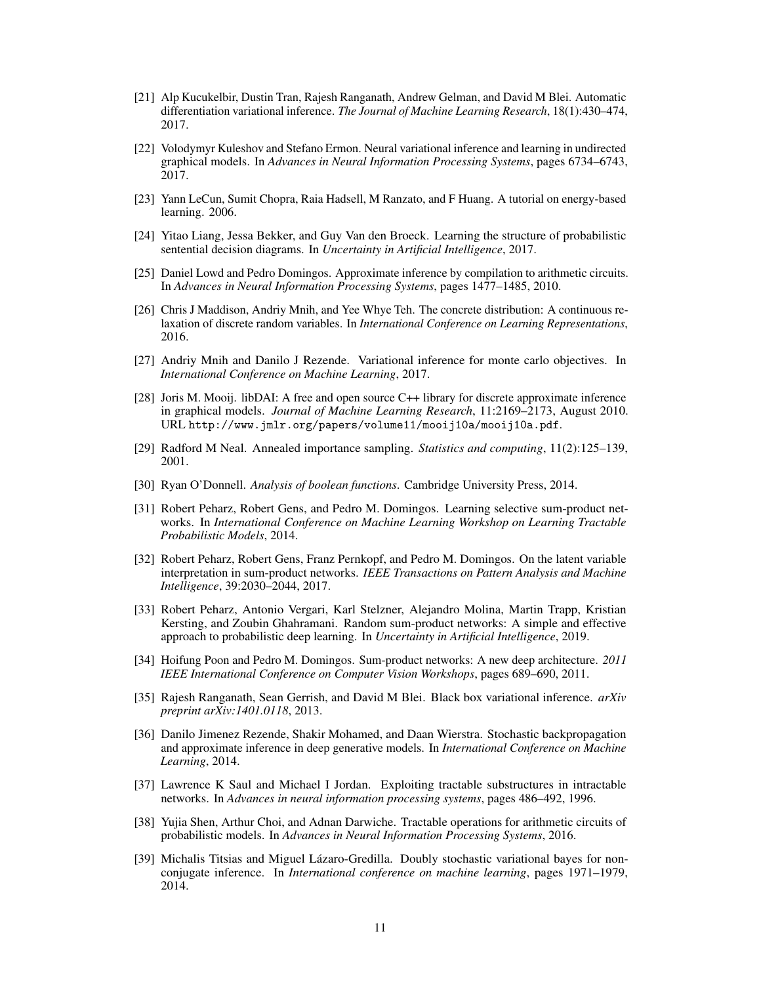- [21] Alp Kucukelbir, Dustin Tran, Rajesh Ranganath, Andrew Gelman, and David M Blei. Automatic differentiation variational inference. *The Journal of Machine Learning Research*, 18(1):430–474, 2017.
- [22] Volodymyr Kuleshov and Stefano Ermon. Neural variational inference and learning in undirected graphical models. In *Advances in Neural Information Processing Systems*, pages 6734–6743, 2017.
- [23] Yann LeCun, Sumit Chopra, Raia Hadsell, M Ranzato, and F Huang. A tutorial on energy-based learning. 2006.
- [24] Yitao Liang, Jessa Bekker, and Guy Van den Broeck. Learning the structure of probabilistic sentential decision diagrams. In *Uncertainty in Artificial Intelligence*, 2017.
- [25] Daniel Lowd and Pedro Domingos. Approximate inference by compilation to arithmetic circuits. In *Advances in Neural Information Processing Systems*, pages 1477–1485, 2010.
- [26] Chris J Maddison, Andriy Mnih, and Yee Whye Teh. The concrete distribution: A continuous relaxation of discrete random variables. In *International Conference on Learning Representations*, 2016.
- [27] Andriy Mnih and Danilo J Rezende. Variational inference for monte carlo objectives. In *International Conference on Machine Learning*, 2017.
- [28] Joris M. Mooij. libDAI: A free and open source C++ library for discrete approximate inference in graphical models. *Journal of Machine Learning Research*, 11:2169–2173, August 2010. URL http://www.jmlr.org/papers/volume11/mooij10a/mooij10a.pdf.
- [29] Radford M Neal. Annealed importance sampling. *Statistics and computing*, 11(2):125–139, 2001.
- [30] Ryan O'Donnell. *Analysis of boolean functions*. Cambridge University Press, 2014.
- [31] Robert Peharz, Robert Gens, and Pedro M. Domingos. Learning selective sum-product networks. In *International Conference on Machine Learning Workshop on Learning Tractable Probabilistic Models*, 2014.
- [32] Robert Peharz, Robert Gens, Franz Pernkopf, and Pedro M. Domingos. On the latent variable interpretation in sum-product networks. *IEEE Transactions on Pattern Analysis and Machine Intelligence*, 39:2030–2044, 2017.
- [33] Robert Peharz, Antonio Vergari, Karl Stelzner, Alejandro Molina, Martin Trapp, Kristian Kersting, and Zoubin Ghahramani. Random sum-product networks: A simple and effective approach to probabilistic deep learning. In *Uncertainty in Artificial Intelligence*, 2019.
- [34] Hoifung Poon and Pedro M. Domingos. Sum-product networks: A new deep architecture. *2011 IEEE International Conference on Computer Vision Workshops*, pages 689–690, 2011.
- [35] Rajesh Ranganath, Sean Gerrish, and David M Blei. Black box variational inference. *arXiv preprint arXiv:1401.0118*, 2013.
- [36] Danilo Jimenez Rezende, Shakir Mohamed, and Daan Wierstra. Stochastic backpropagation and approximate inference in deep generative models. In *International Conference on Machine Learning*, 2014.
- [37] Lawrence K Saul and Michael I Jordan. Exploiting tractable substructures in intractable networks. In *Advances in neural information processing systems*, pages 486–492, 1996.
- [38] Yujia Shen, Arthur Choi, and Adnan Darwiche. Tractable operations for arithmetic circuits of probabilistic models. In *Advances in Neural Information Processing Systems*, 2016.
- [39] Michalis Titsias and Miguel Lázaro-Gredilla. Doubly stochastic variational bayes for nonconjugate inference. In *International conference on machine learning*, pages 1971–1979, 2014.